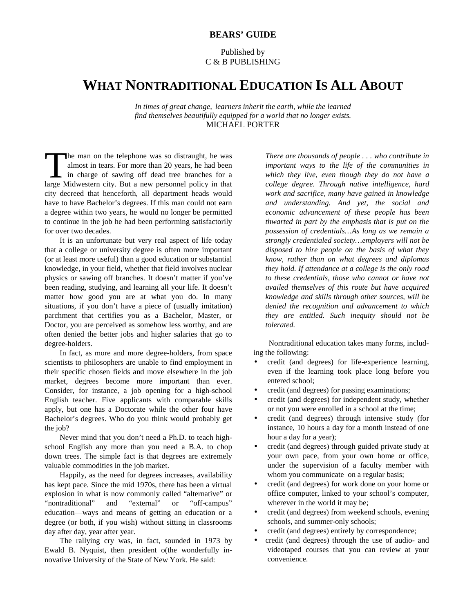## **BEARS' GUIDE**

Published by C & B PUBLISHING

## **WHAT NONTRADITIONAL EDUCATION IS ALL ABOUT**

*In times of great change, learners inherit the earth, while the learned find themselves beautifully equipped for a world that no longer exists.*  MICHAEL PORTER

he man on the telephone was so distraught, he was almost in tears. For more than 20 years, he had been in charge of sawing off dead tree branches for a The man on the telephone was so distraught, he was almost in tears. For more than 20 years, he had been in charge of sawing off dead tree branches for a large Midwestern city. But a new personnel policy in that city decreed that henceforth, all department heads would have to have Bachelor's degrees. If this man could not earn a degree within two years, he would no longer be permitted to continue in the job he had been performing satisfactorily for over two decades.

It is an unfortunate but very real aspect of life today that a college or university degree is often more important (or at least more useful) than a good education or substantial knowledge, in your field, whether that field involves nuclear physics or sawing off branches. It doesn't matter if you've been reading, studying, and learning all your life. It doesn't matter how good you are at what you do. In many situations, if you don't have a piece of (usually imitation) parchment that certifies you as a Bachelor, Master, or Doctor, you are perceived as somehow less worthy, and are often denied the better jobs and higher salaries that go to degree-holders.

In fact, as more and more degree-holders, from space scientists to philosophers are unable to find employment in their specific chosen fields and move elsewhere in the job market, degrees become more important than ever. Consider, for instance, a job opening for a high-school English teacher. Five applicants with comparable skills apply, but one has a Doctorate while the other four have Bachelor's degrees. Who do you think would probably get the job?

Never mind that you don't need a Ph.D. to teach highschool English any more than you need a B.A. to chop down trees. The simple fact is that degrees are extremely valuable commodities in the job market.

Happily, as the need for degrees increases, availability has kept pace. Since the mid 1970s, there has been a virtual explosion in what is now commonly called "alternative" or "nontraditional" and "external" or "off-campus" education—ways and means of getting an education or a degree (or both, if you wish) without sitting in classrooms day after day, year after year.

The rallying cry was, in fact, sounded in 1973 by Ewald B. Nyquist, then president o(the wonderfully innovative University of the State of New York. He said:

*There are thousands of people . . . who contribute in important ways to the life of the communities in which they live, even though they do not have a college degree. Through native intelligence, hard work and sacrifice, many have gained in knowledge and understanding. And yet, the social and economic advancement of these people has been thwarted in part by the emphasis that is put on the possession of credentials…As long as we remain a strongly credentialed society…employers will not be disposed to hire people on the basis of what they know, rather than on what degrees and diplomas they hold. If attendance at a college is the only road to these credentials, those who cannot or have not availed themselves of this route but have acquired knowledge and skills through other sources, will be denied the recognition and advancement to which they are entitled. Such inequity should not be tolerated.* 

Nontraditional education takes many forms, including the following:

- credit (and degrees) for life-experience learning, even if the learning took place long before you entered school;
- credit (and degrees) for passing examinations;
- credit (and degrees) for independent study, whether or not you were enrolled in a school at the time;
- credit (and degrees) through intensive study (for instance, 10 hours a day for a month instead of one hour a day for a year);
- credit (and degrees) through guided private study at your own pace, from your own home or office, under the supervision of a faculty member with whom you communicate on a regular basis;
- credit (and degrees) for work done on your home or office computer, linked to your school's computer, wherever in the world it may be;
- credit (and degrees) from weekend schools, evening schools, and summer-only schools;
- credit (and degrees) entirely by correspondence;
- credit (and degrees) through the use of audio- and videotaped courses that you can review at your convenience.